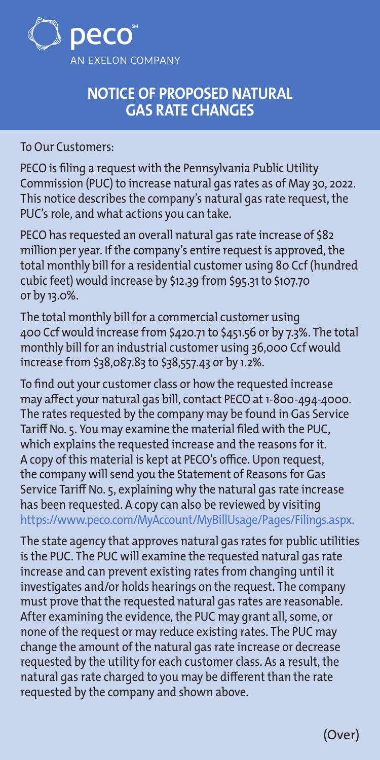

## **NOTICE OF PROPOSED NATURAL GAS RATE CHANGES**

To Our Customers:

PECO is filing a request with the Pennsylvania Public Utility Commission (PUC) to increase natural gas rates as of May 30, 2022. This notice describes the company's natural gas rate request, the PUC's role, and what actions you can take.

PECO has requested an overall natural gas rate increase of \$82 million per year. If the company's entire request is approved, the total monthly bill for a residential customer using 80 Ccf (hundred cubic feet) would increase by \$12.39 from \$95.31 to \$107.70 or by 13.0%.

The total monthly bill for a commercial customer using 400 Ccf would increase from \$420.71 to \$451.56 or by 7.3%. The total monthly bill for an industrial customer using 36,000 Ccf would increase from \$[38,087.83](https://38,087.83) to [\\$38,557.43](https://38,557.43) or by 1.2%.

To find out your customer class or how the requested increase may affect your natural gas bill, contact PECO at 1-800-494-4000. The rates requested by the company may be found in Gas Service Tariff No. 5. You may examine the material filed with the PUC, which explains the requested increase and the reasons for it. A copy of this material is kept at PECO's office. Upon request, the company will send you the Statement of Reasons for Gas Service Tariff No. 5, explaining why the natural gas rate increase has been requested. A copy can also be reviewed by visiting <https://www.peco.com/MyAccount/MyBillUsage/Pages/Filings.aspx>.

The state agency that approves natural gas rates for public utilities is the PUC. The PUC will examine the requested natural gas rate increase and can prevent existing rates from changing until it investigates and/or holds hearings on the request. The company must prove that the requested natural gas rates are reasonable. After examining the evidence, the PUC may grant all, some, or none of the request or may reduce existing rates. The PUC may change the amount of the natural gas rate increase or decrease requested by the utility for each customer class. As a result, the natural gas rate charged to you may be different than the rate requested by the company and shown above.